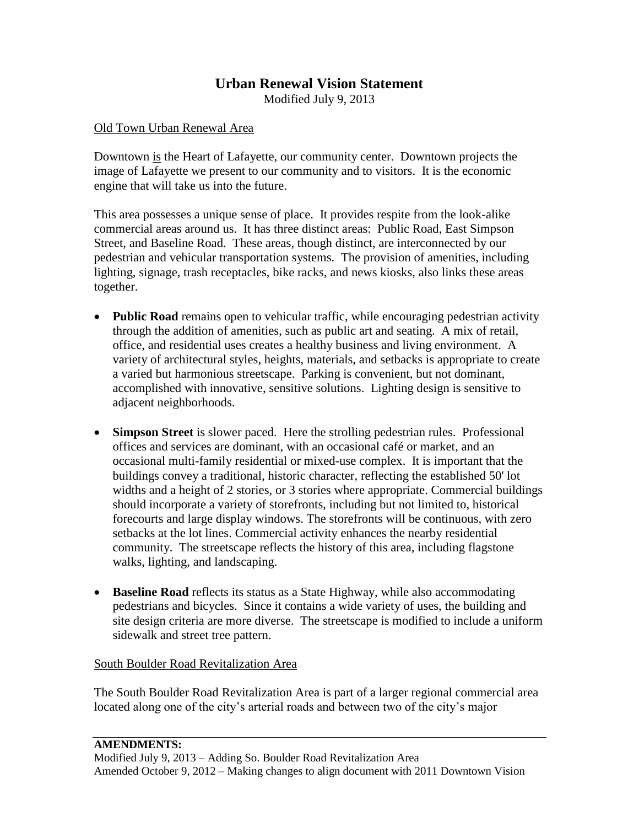## **Urban Renewal Vision Statement**

Modified July 9, 2013

## Old Town Urban Renewal Area

Downtown is the Heart of Lafayette, our community center. Downtown projects the image of Lafayette we present to our community and to visitors. It is the economic engine that will take us into the future.

This area possesses a unique sense of place. It provides respite from the look-alike commercial areas around us. It has three distinct areas: Public Road, East Simpson Street, and Baseline Road. These areas, though distinct, are interconnected by our pedestrian and vehicular transportation systems. The provision of amenities, including lighting, signage, trash receptacles, bike racks, and news kiosks, also links these areas together.

- **Public Road** remains open to vehicular traffic, while encouraging pedestrian activity through the addition of amenities, such as public art and seating. A mix of retail, office, and residential uses creates a healthy business and living environment. A variety of architectural styles, heights, materials, and setbacks is appropriate to create a varied but harmonious streetscape. Parking is convenient, but not dominant, accomplished with innovative, sensitive solutions. Lighting design is sensitive to adjacent neighborhoods.
- **Simpson Street** is slower paced. Here the strolling pedestrian rules. Professional offices and services are dominant, with an occasional café or market, and an occasional multi-family residential or mixed-use complex. It is important that the buildings convey a traditional, historic character, reflecting the established 50' lot widths and a height of 2 stories, or 3 stories where appropriate. Commercial buildings should incorporate a variety of storefronts, including but not limited to, historical forecourts and large display windows. The storefronts will be continuous, with zero setbacks at the lot lines. Commercial activity enhances the nearby residential community. The streetscape reflects the history of this area, including flagstone walks, lighting, and landscaping.
- **Baseline Road** reflects its status as a State Highway, while also accommodating pedestrians and bicycles. Since it contains a wide variety of uses, the building and site design criteria are more diverse. The streetscape is modified to include a uniform sidewalk and street tree pattern.

## South Boulder Road Revitalization Area

The South Boulder Road Revitalization Area is part of a larger regional commercial area located along one of the city's arterial roads and between two of the city's major